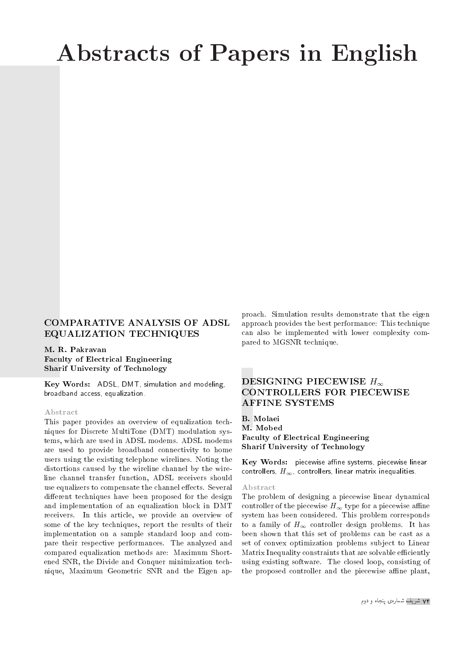# Abstracts of Papers in English

## COMPARATIVE ANALYSIS OF ADSL EQUALIZATION TECHNIQUES

M. R. Pakravan Faculty of Electrical Engineering Sharif University of Technology

Key Words: ADSL, DMT, simulation and modeling, broadband access, equalization.

#### Abstract

This paper provides an overview of equalization techniques for Discrete MultiTone (DMT) modulation systems, which are used in ADSL modems. ADSL modems are used to provide broadband connectivity to home users using the existing telephone wirelines. Noting the distortions caused by the wireline channel by the wireline channel transfer function, ADSL receivers should use equalizers to compensate the channel effects. Several different techniques have been proposed for the design and implementation of an equalization block in DMT receivers. In this article, we provide an overview of some of the key techniques, report the results of their implementation on a sample standard loop and compare their respective performances. The analyzed and compared equalization methods are: Maximum Shortened SNR, the Divide and Conquer minimization technique, Maximum Geometric SNR and the Eigen approach. Simulation results demonstrate that the eigen approach provides the best performance: This technique can also be implemented with lower complexity compared to MGSNR technique.

## DESIGNING PIECEWISE  $H_{\infty}$ CONTROLLERS FOR PIECEWISE AFFINE SYSTEMS

B. Molaei M. Mobed Faculty of Electrical Engineering Sharif University of Technology

 $Key Words:$  piecewise affine systems, piecewise linear controllers,  $H_{\infty}$ , controllers, linear matrix inequalities.

#### Abstract

The problem of designing a piecewise linear dynamical controller of the piecewise  $H_{\infty}$  type for a piecewise affine system has been considered. This problem corresponds to a family of  $H_{\infty}$  controller design problems. It has been shown that this set of problems can be cast as a set of convex optimization problems subject to Linear Matrix Inequality constraints that are solvable efficiently using existing software. The closed loop, consisting of the proposed controller and the piecewise affine plant,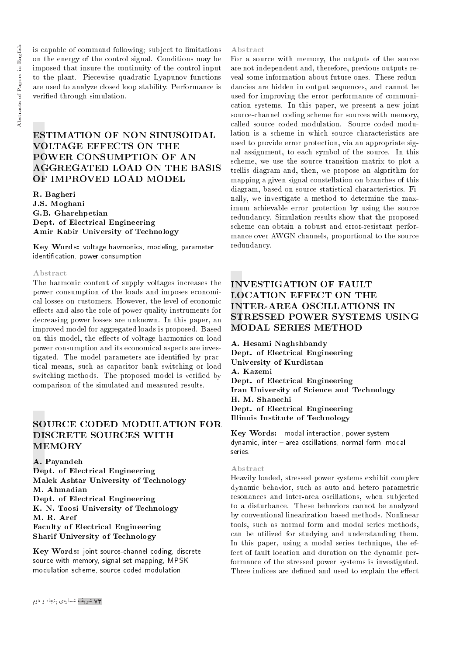is capable of command following; subject to limitations on the energy of the control signal. Conditions may be imposed that insure the continuity of the control input to the plant. Piecewise quadratic Lyapunov functions are used to analyze closed loop stability. Performance is veried through simulation.

# ESTIMATION OF NON SINUSOIDAL VOLTAGE EFFECTS ON THE POWER CONSUMPTION OF AN AGGREGATED LOAD ON THE BASIS OF IMPROVED LOAD MODEL

R. Bagheri J.S. Moghani G.B. Gharehpetian Dept. of Electrical Engineering Amir Kabir University of Technology

Key Words: voltage havmonics, modeling, parameter identication, power consumption.

#### Abstract

The harmonic content of supply voltages increases the power consumption of the loads and imposes economical losses on customers. However, the level of economic effects and also the role of power quality instruments for decreasing power losses are unknown. In this paper, an improved model for aggregated loads is proposed. Based on this model, the effects of voltage harmonics on load power consumption and its economical aspects are investigated. The model parameters are identified by practical means, such as capacitor bank switching or load switching methods. The proposed model is verified by comparison of the simulated and measured results.

## SOURCE CODED MODULATION FOR DISCRETE SOURCES WITH MEMORY

A. Payandeh Dept. of Electrical Engineering Malek Ashtar University of Technology M. Ahmadian Dept. of Electrical Engineering K. N. Toosi University of Technology M. R. Aref Faculty of Electrical Engineering Sharif University of Technology

Key Words: joint source-channel coding, discrete source with memory, signal set mapping, MPSK modulation scheme, source coded modulation.

#### Abstract

For a source with memory, the outputs of the source are not independent and, therefore, previous outputs reveal some information about future ones. These redundancies are hidden in output sequences, and cannot be used for improving the error performance of communication systems. In this paper, we present a new joint source-channel coding scheme for sources with memory, called source coded modulation. Source coded modulation is a scheme in which source characteristics are used to provide error protection, via an appropriate signal assignment, to each symbol of the source. In this scheme, we use the source transition matrix to plot a trellis diagram and, then, we propose an algorithm for mapping a given signal constellation on branches of this diagram, based on source statistical characteristics. Finally, we investigate a method to determine the maximum achievable error protection by using the source redundancy. Simulation results show that the proposed scheme can obtain a robust and error-resistant performance over AWGN channels, proportional to the source redundancy.

## INVESTIGATION OF FAULT LOCATION EFFECT ON THE INTER-AREA OSCILLATIONS IN STRESSED POWER SYSTEMS USING MODAL SERIES METHOD

A. Hesami Naghshbandy Dept. of Electrical Engineering University of Kurdistan A. Kazemi Dept. of Electrical Engineering Iran University of Science and Technology H. M. Shanechi Dept. of Electrical Engineering Illinois Institute of Technology

Key Words: modal interaction, power system dynamic, inter - area oscillations, normal form, modal series.

#### Abstract

Heavily loaded, stressed power systems exhibit complex dynamic behavior, such as auto and hetero parametric resonances and inter-area oscillations, when subjected to a disturbance. These behaviors cannot be analyzed by conventional linearization based methods. Nonlinear tools, such as normal form and modal series methods, can be utilized for studying and understanding them. In this paper, using a modal series technique, the effect of fault location and duration on the dynamic performance of the stressed power systems is investigated. Three indices are defined and used to explain the effect